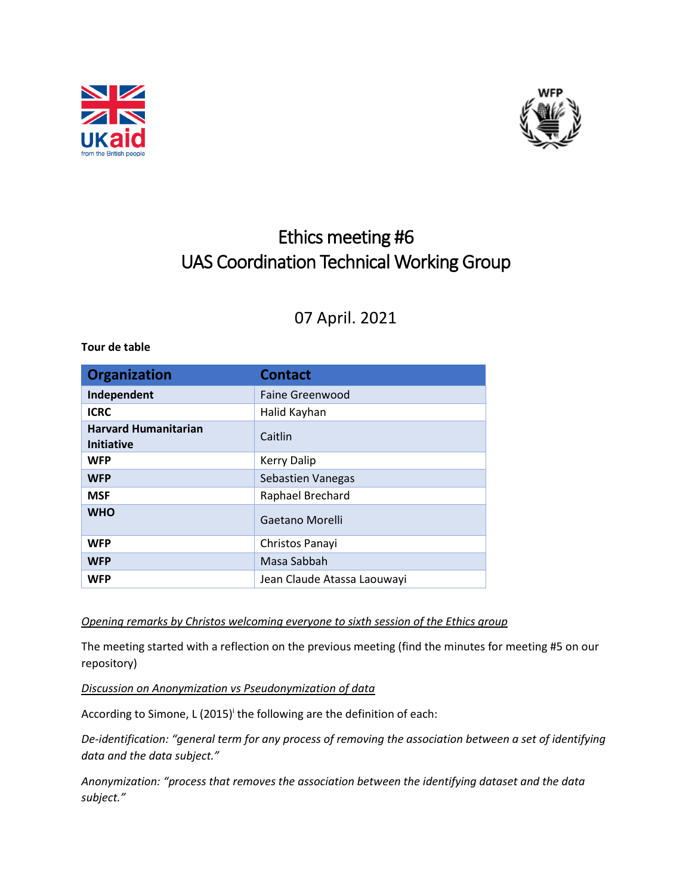



# Ethics meeting #6 UAS Coordination Technical Working Group

# 07 April. 2021

#### **Tour de table**

| <b>Organization</b>                              | <b>Contact</b>              |
|--------------------------------------------------|-----------------------------|
| Independent                                      | Faine Greenwood             |
| <b>ICRC</b>                                      | Halid Kayhan                |
| <b>Harvard Humanitarian</b><br><b>Initiative</b> | Caitlin                     |
| <b>WFP</b>                                       | <b>Kerry Dalip</b>          |
| <b>WFP</b>                                       | <b>Sebastien Vanegas</b>    |
| <b>MSF</b>                                       | Raphael Brechard            |
| <b>WHO</b>                                       | Gaetano Morelli             |
| <b>WFP</b>                                       | Christos Panayi             |
| <b>WFP</b>                                       | Masa Sabbah                 |
| <b>WFP</b>                                       | Jean Claude Atassa Laouwayi |

*Opening remarks by Christos welcoming everyone to sixth session of the Ethics group*

The meeting started with a reflection on the previous meeting (find the minutes for meeting #5 on our repository)

*Discussion o[n Anonymization](https://nvlpubs.nist.gov/nistpubs/ir/2015/NIST.IR.8053.pdf) v[s Pseudonymization of data](https://iapp.org/news/a/looking-to-comply-with-gdpr-heres-a-primer-on-anonymization-and-pseudonymization/)*

According to Simone, L (2015)<sup>i</sup> the following are the definition of each:

*De-identification: "general term for any process of removing the association between a set of identifying data and the data subject."* 

*Anonymization: "process that removes the association between the identifying dataset and the data subject."*